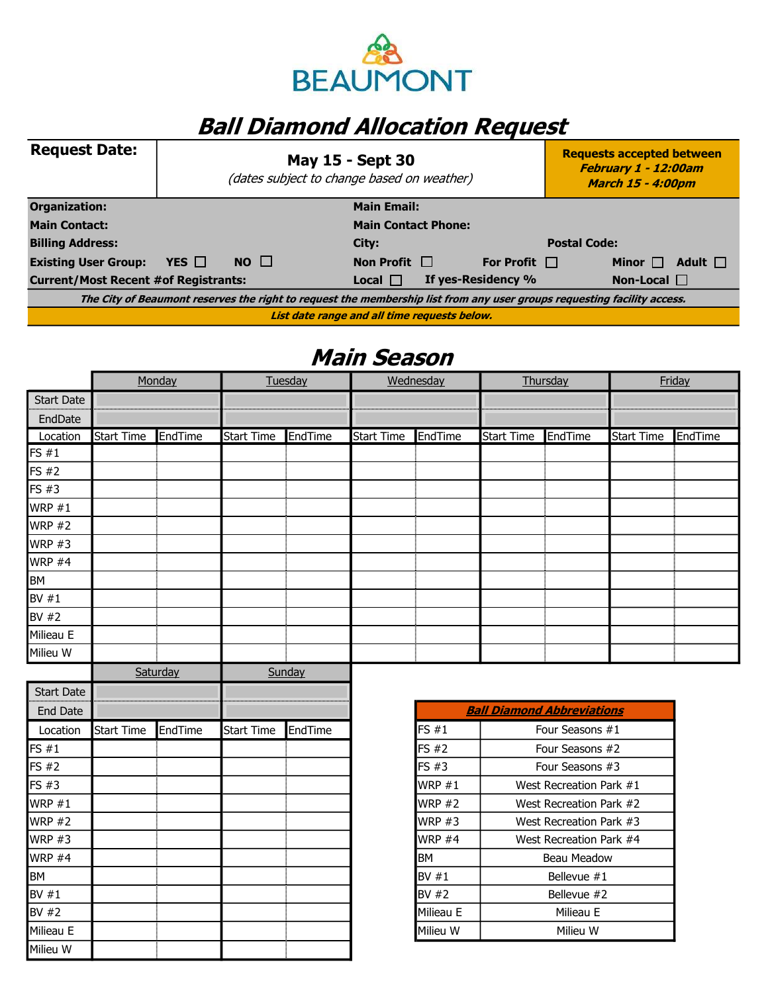

## **Ball Diamond Allocation Request**

| <b>Request Date:</b>                                                                                                    |                            | <b>May 15 - Sept 30</b><br>(dates subject to change based on weather) |                    | <b>Requests accepted between</b><br>February 1 - 12:00am<br><b>March 15 - 4:00pm</b> |                              |  |  |
|-------------------------------------------------------------------------------------------------------------------------|----------------------------|-----------------------------------------------------------------------|--------------------|--------------------------------------------------------------------------------------|------------------------------|--|--|
| Organization:                                                                                                           |                            |                                                                       | <b>Main Email:</b> |                                                                                      |                              |  |  |
| <b>Main Contact:</b>                                                                                                    | <b>Main Contact Phone:</b> |                                                                       |                    |                                                                                      |                              |  |  |
| <b>Billing Address:</b>                                                                                                 | City:                      |                                                                       |                    |                                                                                      | <b>Postal Code:</b>          |  |  |
| <b>Existing User Group:</b>                                                                                             | YES $\Box$                 | $NO$ $\Box$                                                           | Non Profit $\Box$  | For Profit $\Box$                                                                    | Adult $\Box$<br>Minor $\Box$ |  |  |
| <b>Current/Most Recent #of Registrants:</b>                                                                             |                            |                                                                       | $Local \Box$       | If yes-Residency %                                                                   | Non-Local $\Box$             |  |  |
| The City of Beaumont reserves the right to request the membership list from any user groups requesting facility access. |                            |                                                                       |                    |                                                                                      |                              |  |  |
| List date range and all time requests below.                                                                            |                            |                                                                       |                    |                                                                                      |                              |  |  |

## Main Season

|                   |                   | Monday  |                   | Tuesday |                   | Wednesday<br>Thursday |                   |         |                   | Friday  |
|-------------------|-------------------|---------|-------------------|---------|-------------------|-----------------------|-------------------|---------|-------------------|---------|
| <b>Start Date</b> |                   |         |                   |         |                   |                       |                   |         |                   |         |
| EndDate           |                   |         |                   |         |                   |                       |                   |         |                   |         |
| Location          | <b>Start Time</b> | EndTime | <b>Start Time</b> | EndTime | <b>Start Time</b> | EndTime               | <b>Start Time</b> | EndTime | <b>Start Time</b> | EndTime |
| FS $#1$           |                   |         |                   |         |                   |                       |                   |         |                   |         |
| FS #2             |                   |         |                   |         |                   |                       |                   |         |                   |         |
| FS #3             |                   |         |                   |         |                   |                       |                   |         |                   |         |
| WRP $#1$          |                   |         |                   |         |                   |                       |                   |         |                   |         |
| <b>WRP #2</b>     |                   |         |                   |         |                   |                       |                   |         |                   |         |
| <b>WRP #3</b>     |                   |         |                   |         |                   |                       |                   |         |                   |         |
| <b>WRP #4</b>     |                   |         |                   |         |                   |                       |                   |         |                   |         |
| BM                |                   |         |                   |         |                   |                       |                   |         |                   |         |
| BV $#1$           |                   |         |                   |         |                   |                       |                   |         |                   |         |
| BV #2             |                   |         |                   |         |                   |                       |                   |         |                   |         |
| Milieau E         |                   |         |                   |         |                   |                       |                   |         |                   |         |
| Milieu W          |                   |         |                   |         |                   |                       |                   |         |                   |         |
|                   | Saturday          |         | Sunday            |         |                   |                       |                   |         |                   |         |
| <b>Start Date</b> |                   |         |                   |         |                   |                       |                   |         |                   |         |

| Start Date |            |         |                   |         |           |
|------------|------------|---------|-------------------|---------|-----------|
| End Date   |            |         |                   |         |           |
| Location   | Start Time | EndTime | <b>Start Time</b> | EndTime | FS#1      |
| FS#1       |            |         |                   |         | FS #2     |
| IFS #2     |            |         |                   |         | FS#3      |
| FS#3       |            |         |                   |         | WRP#1     |
| WRP $#1$   |            |         |                   |         | WRP #2    |
| WRP $#2$   |            |         |                   |         | WRP #3    |
| WRP $#3$   |            |         |                   |         | WRP #4    |
| WRP #4     |            |         |                   |         | <b>BM</b> |
| <b>BM</b>  |            |         |                   |         | BV#1      |
| BV $#1$    |            |         |                   |         | BV #2     |
| BV#2       |            |         |                   |         | Milieau E |
| Milieau E  |            |         |                   |         | Milieu W  |
| Milieu W   |            |         |                   |         |           |

| <u> Ball Diamond Abbreviations</u> |                         |  |  |  |  |
|------------------------------------|-------------------------|--|--|--|--|
| FS#1                               | Four Seasons #1         |  |  |  |  |
| FS #2                              | Four Seasons #2         |  |  |  |  |
| FS #3                              | Four Seasons #3         |  |  |  |  |
| WRP $#1$                           | West Recreation Park #1 |  |  |  |  |
| <b>WRP #2</b>                      | West Recreation Park #2 |  |  |  |  |
| <b>WRP #3</b>                      | West Recreation Park #3 |  |  |  |  |
| <b>WRP #4</b>                      | West Recreation Park #4 |  |  |  |  |
| BМ                                 | Beau Meadow             |  |  |  |  |
| BV $#1$                            | Bellevue #1             |  |  |  |  |
| BV #2                              | Bellevue #2             |  |  |  |  |
| Milieau E                          | Milieau E               |  |  |  |  |
| Milieu W                           | Milieu W                |  |  |  |  |